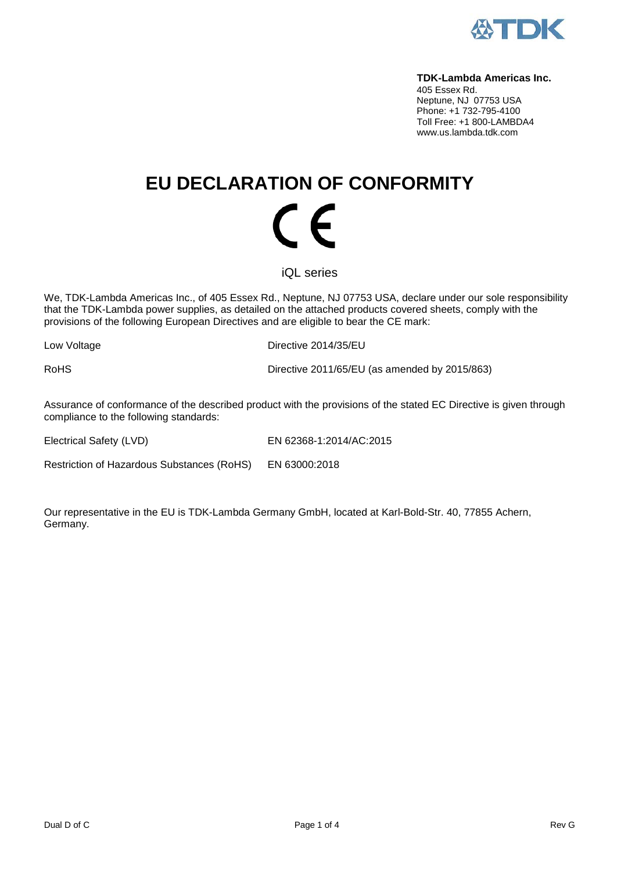

#### **TDK-Lambda Americas Inc.**

405 Essex Rd. Neptune, NJ 07753 USA Phone: +1 732-795-4100 Toll Free: +1 800-LAMBDA4 www.us.lambda.tdk.com

## **EU DECLARATION OF CONFORMITY** (  $\epsilon$

iQL series

We, TDK-Lambda Americas Inc., of 405 Essex Rd., Neptune, NJ 07753 USA, declare under our sole responsibility that the TDK-Lambda power supplies, as detailed on the attached products covered sheets, comply with the provisions of the following European Directives and are eligible to bear the CE mark:

Low Voltage **Directive 2014/35/EU** 

RoHS Directive 2011/65/EU (as amended by 2015/863)

Assurance of conformance of the described product with the provisions of the stated EC Directive is given through compliance to the following standards:

Electrical Safety (LVD) EN 62368-1:2014/AC:2015

Restriction of Hazardous Substances (RoHS) EN 63000:2018

Our representative in the EU is TDK-Lambda Germany GmbH, located at Karl-Bold-Str. 40, 77855 Achern, Germany.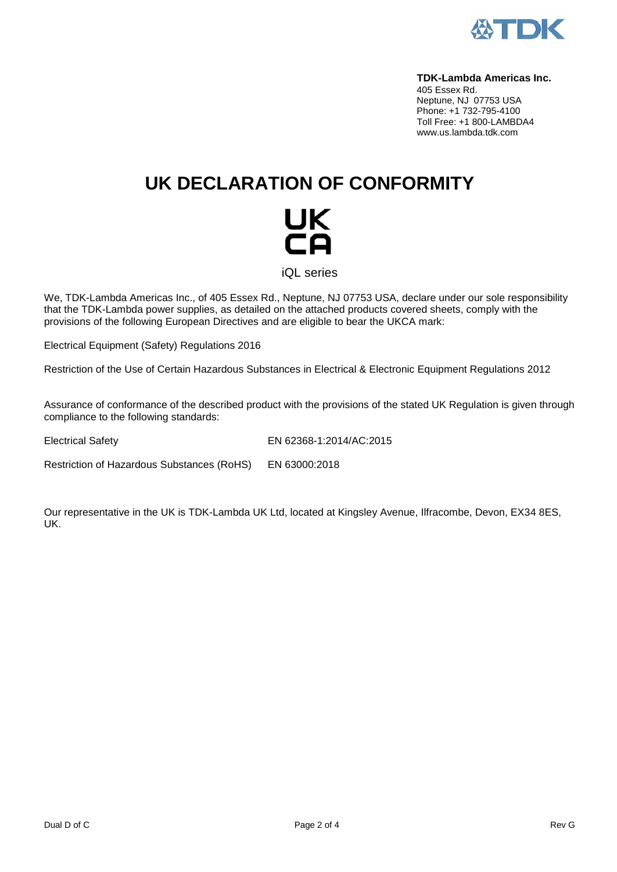

#### **TDK-Lambda Americas Inc.**

405 Essex Rd. Neptune, NJ 07753 USA Phone: +1 732-795-4100 Toll Free: +1 800-LAMBDA4 www.us.lambda.tdk.com

## **UK DECLARATION OF CONFORMITY**

# UK<br>CA

iQL series

We, TDK-Lambda Americas Inc., of 405 Essex Rd., Neptune, NJ 07753 USA, declare under our sole responsibility that the TDK-Lambda power supplies, as detailed on the attached products covered sheets, comply with the provisions of the following European Directives and are eligible to bear the UKCA mark:

Electrical Equipment (Safety) Regulations 2016

Restriction of the Use of Certain Hazardous Substances in Electrical & Electronic Equipment Regulations 2012

Assurance of conformance of the described product with the provisions of the stated UK Regulation is given through compliance to the following standards:

Electrical Safety EN 62368-1:2014/AC:2015

Restriction of Hazardous Substances (RoHS) EN 63000:2018

Our representative in the UK is TDK-Lambda UK Ltd, located at Kingsley Avenue, Ilfracombe, Devon, EX34 8ES, UK.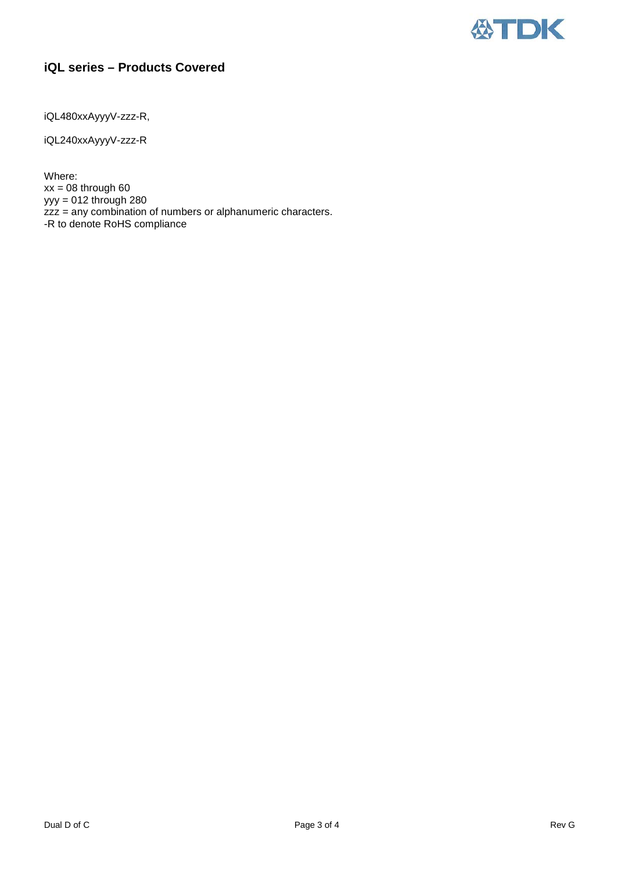

### **iQL series – Products Covered**

iQL480xxAyyyV-zzz-R,

iQL240xxAyyyV-zzz-R

Where:  $xx = 08$  through 60 yyy = 012 through 280 zzz = any combination of numbers or alphanumeric characters. -R to denote RoHS compliance